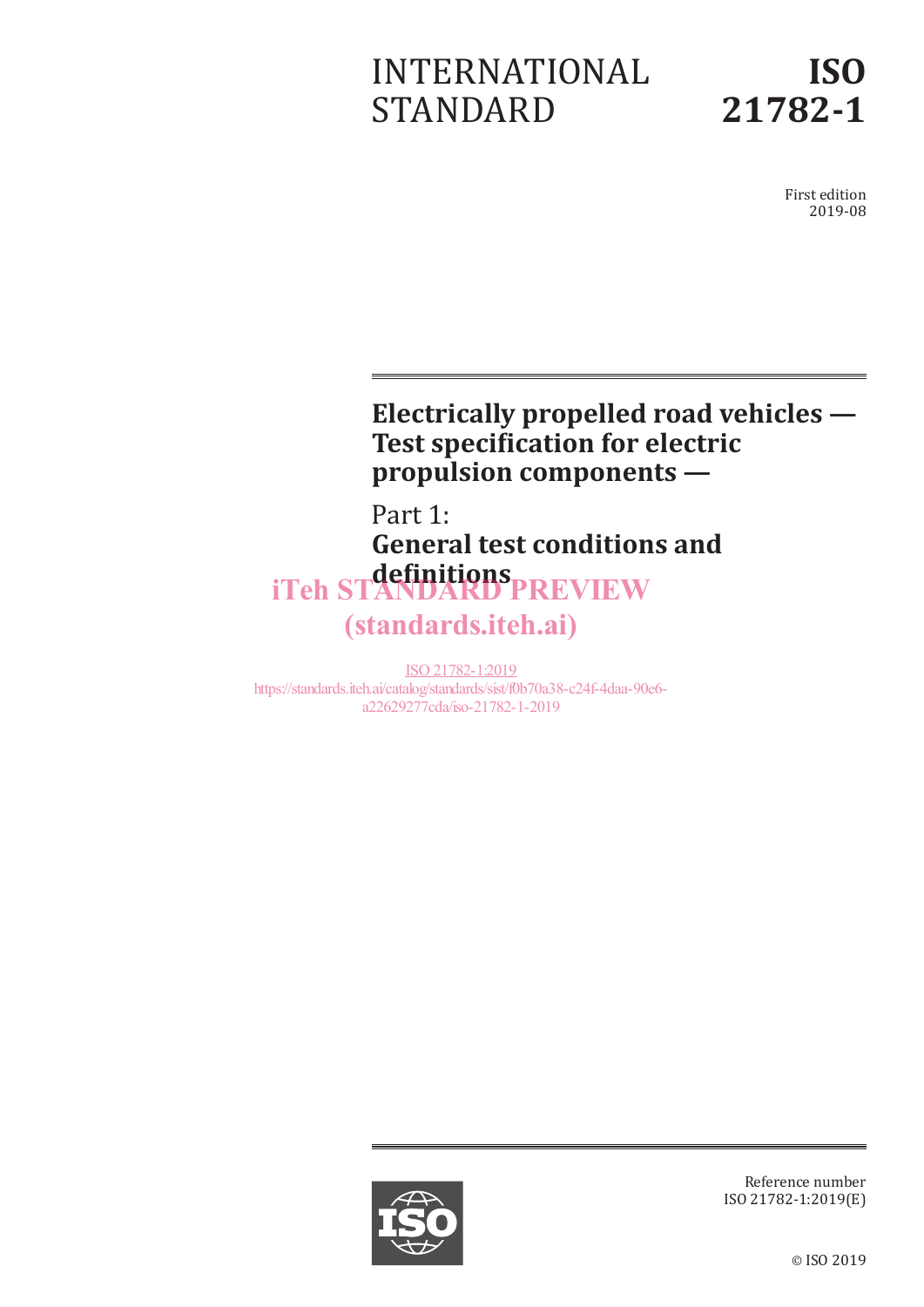# INTERNATIONAL STANDARD



First edition 2019-08

# **Electrically propelled road vehicles — Test specification for electric propulsion components —**

# Part 1: **General test conditions and definitions** iTeh STANDARD PREVIEW (standards.iteh.ai)

ISO 21782-1:2019 https://standards.iteh.ai/catalog/standards/sist/f0b70a38-c24f-4daa-90e6 a22629277cda/iso-21782-1-2019



Reference number ISO 21782-1:2019(E)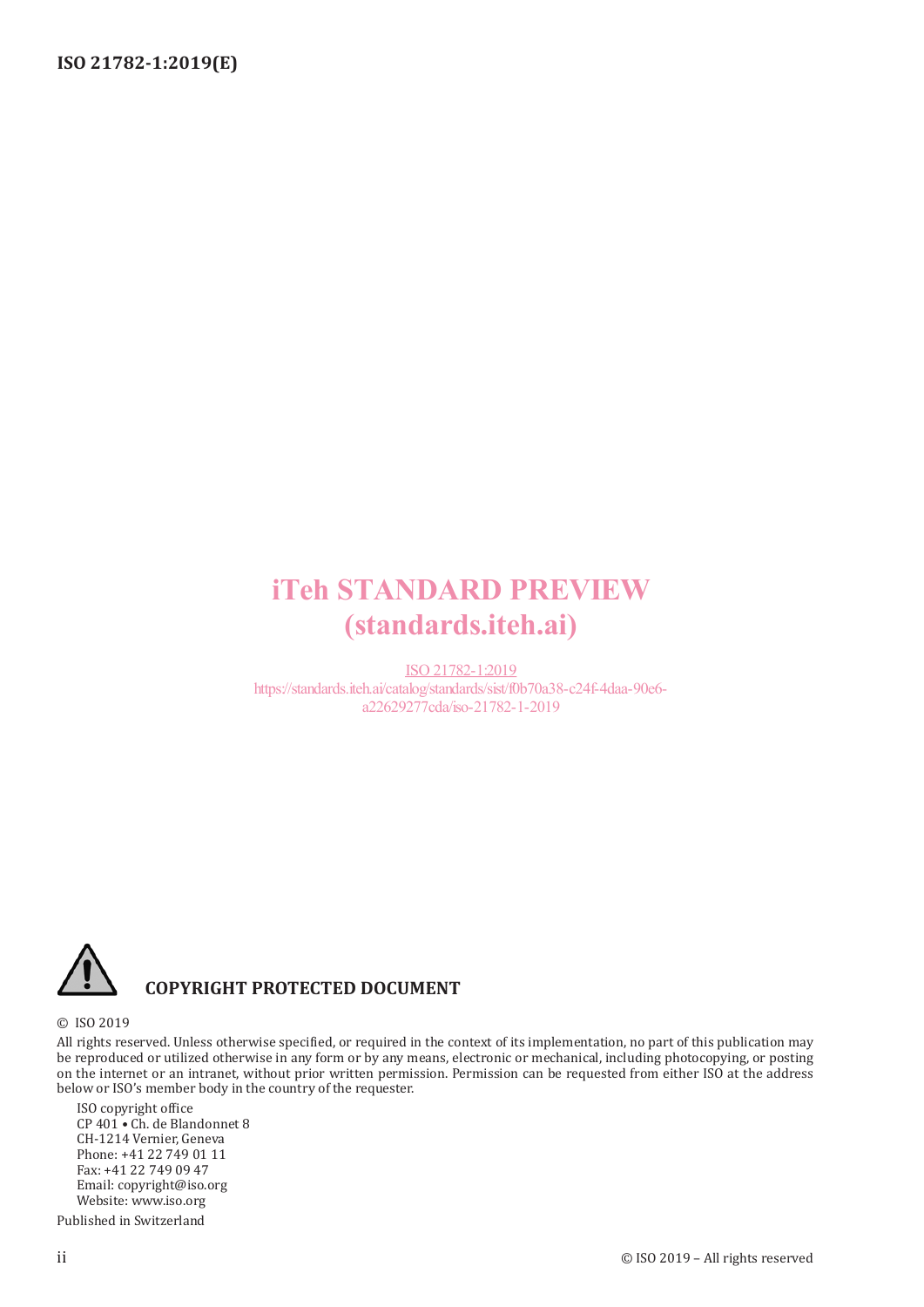# iTeh STANDARD PREVIEW (standards.iteh.ai)

ISO 21782-1:2019 https://standards.iteh.ai/catalog/standards/sist/f0b70a38-c24f-4daa-90e6 a22629277cda/iso-21782-1-2019



## **COPYRIGHT PROTECTED DOCUMENT**

#### © ISO 2019

All rights reserved. Unless otherwise specified, or required in the context of its implementation, no part of this publication may be reproduced or utilized otherwise in any form or by any means, electronic or mechanical, including photocopying, or posting on the internet or an intranet, without prior written permission. Permission can be requested from either ISO at the address below or ISO's member body in the country of the requester.

ISO copyright office CP 401 • Ch. de Blandonnet 8 CH-1214 Vernier, Geneva Phone: +41 22 749 01 11 Fax: +41 22 749 09 47 Email: copyright@iso.org Website: www.iso.org

Published in Switzerland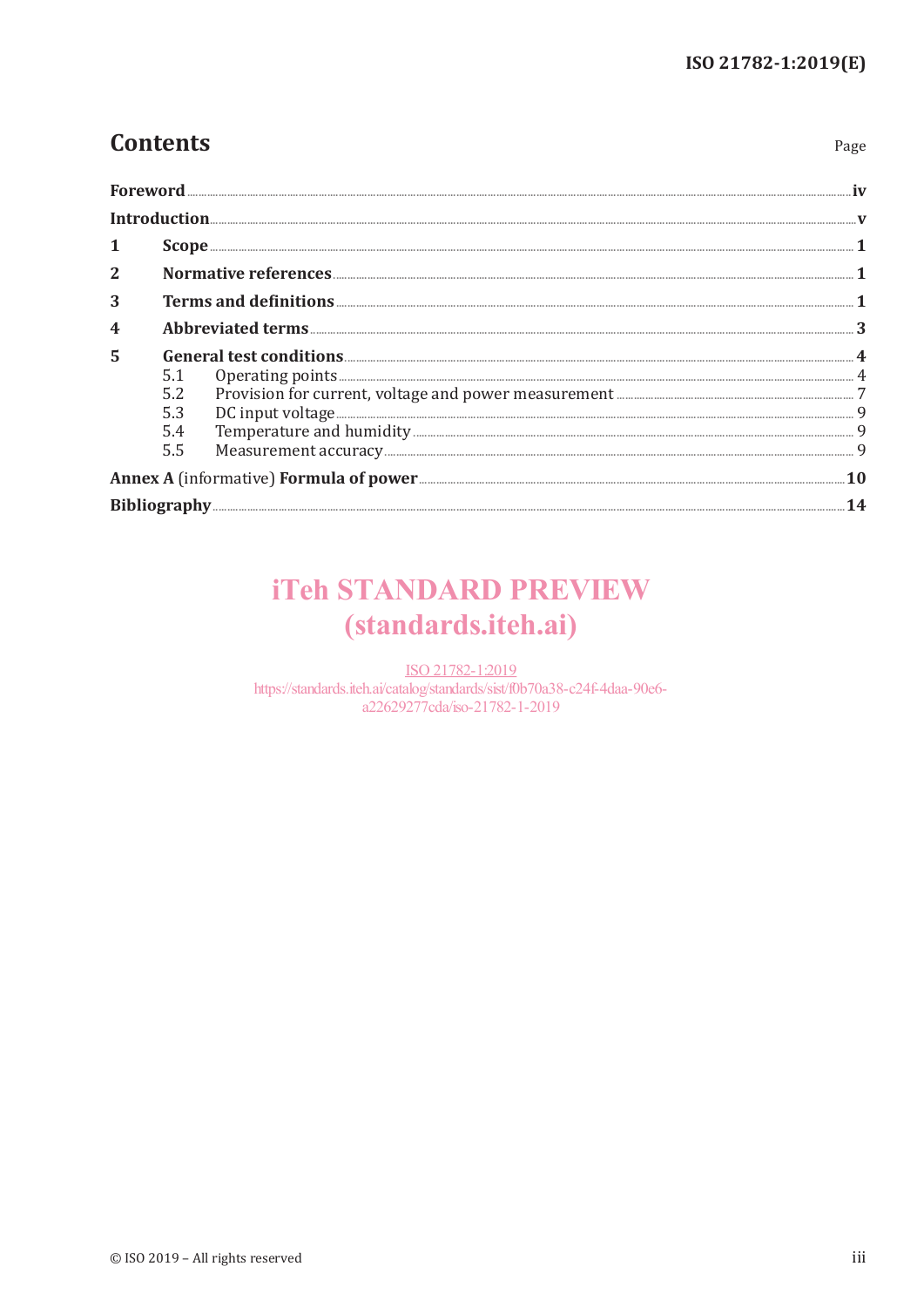Page

# **Contents**

|                |     | Foreword                                                             |  |
|----------------|-----|----------------------------------------------------------------------|--|
|                |     |                                                                      |  |
|                |     |                                                                      |  |
| $\overline{2}$ |     |                                                                      |  |
| 3              |     |                                                                      |  |
|                |     |                                                                      |  |
| 5              |     |                                                                      |  |
|                | 5.1 |                                                                      |  |
|                | 5.2 |                                                                      |  |
|                |     |                                                                      |  |
|                | 5.4 |                                                                      |  |
|                | 5.5 | DC input voltage<br>Temperature and humidity<br>Measurement accuracy |  |
|                |     |                                                                      |  |
|                |     |                                                                      |  |

# **iTeh STANDARD PREVIEW** (standards.iteh.ai)

ISO 21782-1:2019 https://standards.iteh.ai/catalog/standards/sist/f0b70a38-c24f-4daa-90e6a22629277cda/iso-21782-1-2019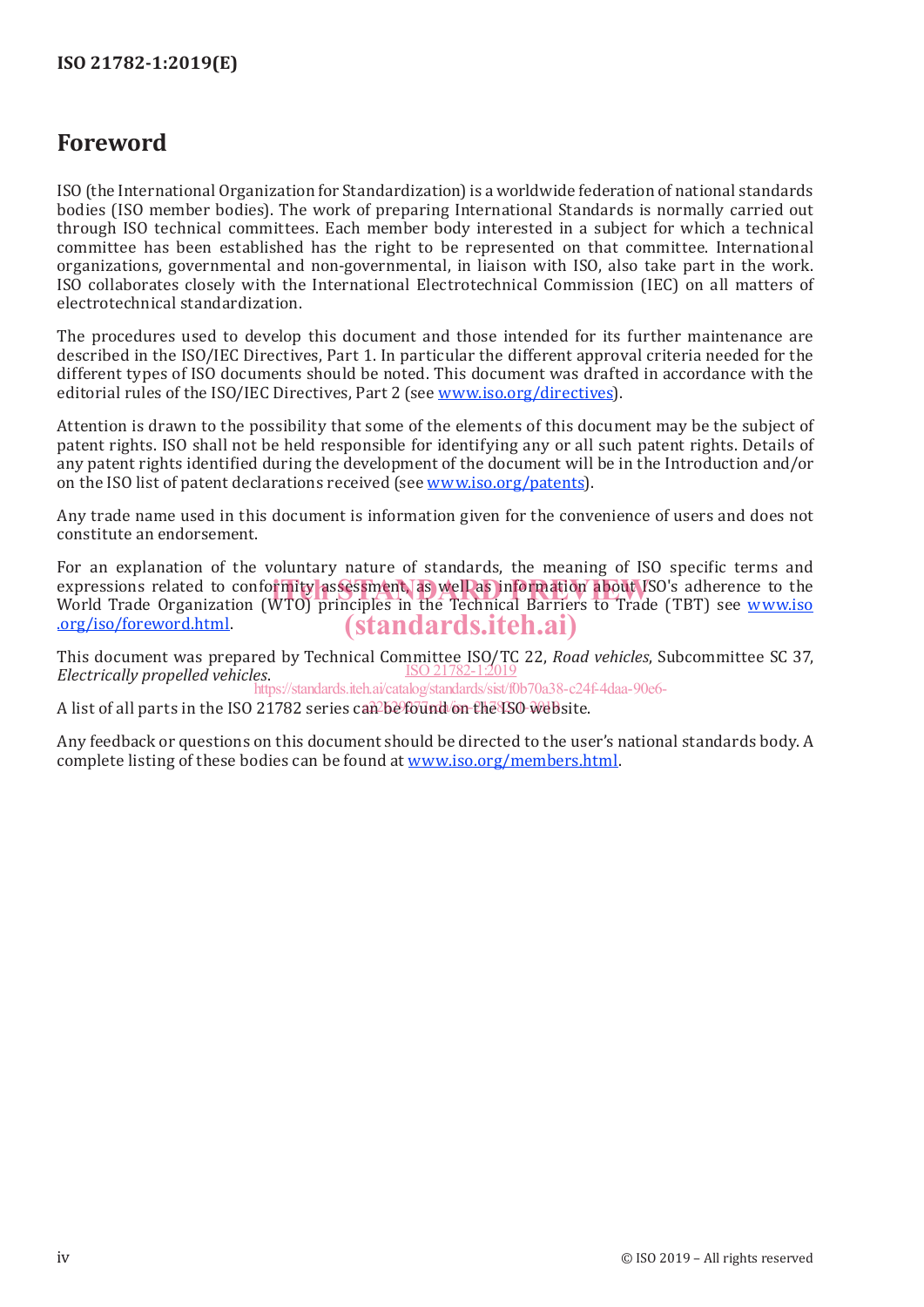# **Foreword**

ISO (the International Organization for Standardization) is a worldwide federation of national standards bodies (ISO member bodies). The work of preparing International Standards is normally carried out through ISO technical committees. Each member body interested in a subject for which a technical committee has been established has the right to be represented on that committee. International organizations, governmental and non-governmental, in liaison with ISO, also take part in the work. ISO collaborates closely with the International Electrotechnical Commission (IEC) on all matters of electrotechnical standardization.

The procedures used to develop this document and those intended for its further maintenance are described in the ISO/IEC Directives, Part 1. In particular the different approval criteria needed for the different types of ISO documents should be noted. This document was drafted in accordance with the editorial rules of the ISO/IEC Directives, Part 2 (see www.iso.org/directives).

Attention is drawn to the possibility that some of the elements of this document may be the subject of patent rights. ISO shall not be held responsible for identifying any or all such patent rights. Details of any patent rights identified during the development of the document will be in the Introduction and/or on the ISO list of patent declarations received (see www.iso.org/patents).

Any trade name used in this document is information given for the convenience of users and does not constitute an endorsement.

For an explanation of the voluntary nature of standards, the meaning of ISO specific terms and expressions related to conformity assessment, as well as information about ISO's adherence to the expressions of the Water of the Technical Barriers to Trade (TBT) see www.iso. World Trade Organization (WTO) principles in the Technical Barriers to Trade (TBT) see www.iso .org/iso/foreword.html. (standards.iteh.ai)

This document was prepared by Technical Committee ISO/TC 22, *Road vehicles*, Subcommittee SC 37, ISO 21782-1:2019 *Electrically propelled vehicles*.

https://standards.iteh.ai/catalog/standards/sist/f0b70a38-c24f-4daa-90e6-

A list of all parts in the ISO 21782 series can be found on the ISO website.

Any feedback or questions on this document should be directed to the user's national standards body. A complete listing of these bodies can be found at www.iso.org/members.html.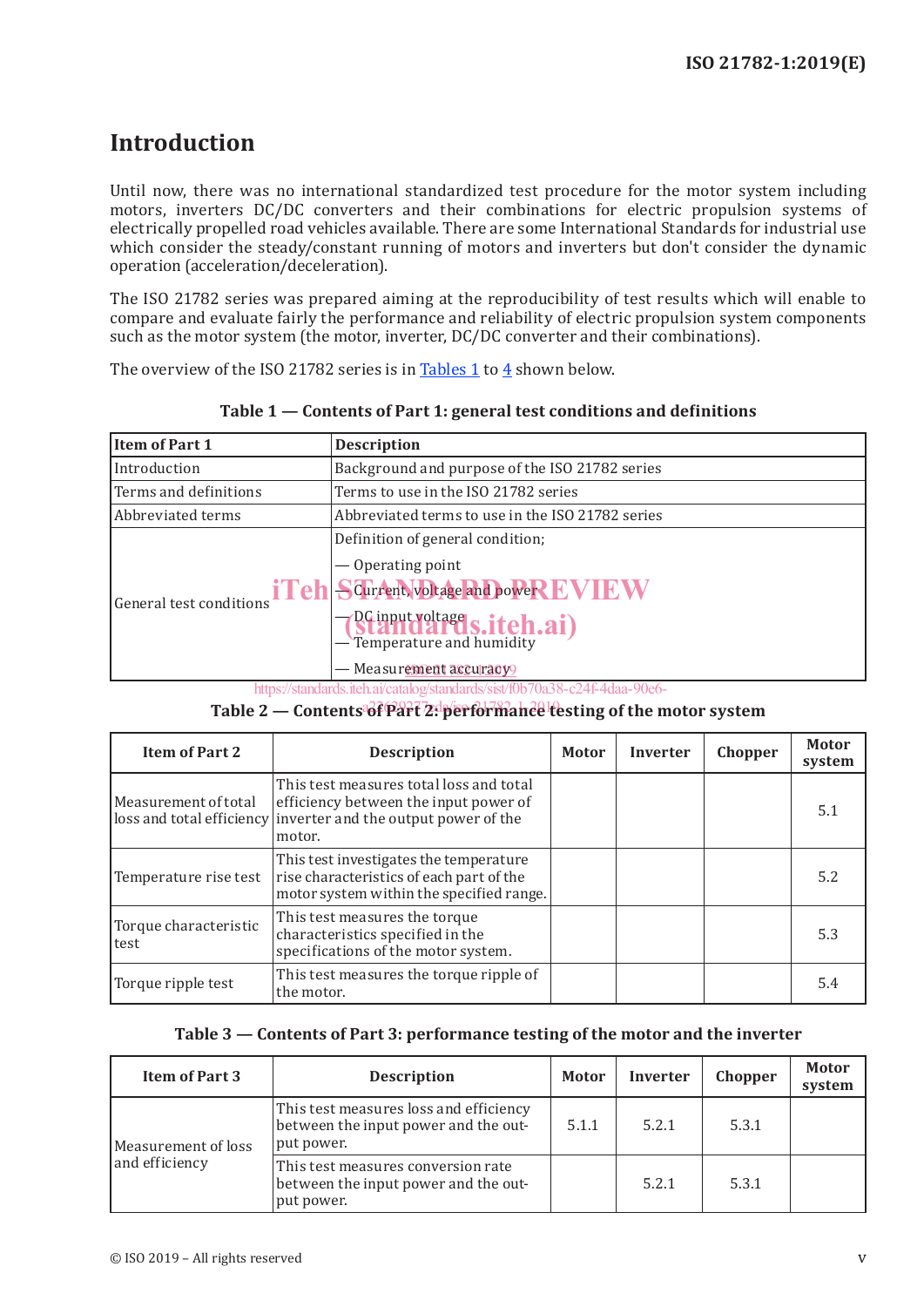# **Introduction**

Until now, there was no international standardized test procedure for the motor system including motors, inverters DC/DC converters and their combinations for electric propulsion systems of electrically propelled road vehicles available. There are some International Standards for industrial use which consider the steady/constant running of motors and inverters but don't consider the dynamic operation (acceleration/deceleration).

The ISO 21782 series was prepared aiming at the reproducibility of test results which will enable to compare and evaluate fairly the performance and reliability of electric propulsion system components such as the motor system (the motor, inverter, DC/DC converter and their combinations).

The overview of the ISO 21782 series is in Tables 1 to 4 shown below.

| Item of Part 1          | <b>Description</b>                                                                                                                                               |  |  |
|-------------------------|------------------------------------------------------------------------------------------------------------------------------------------------------------------|--|--|
| Introduction            | Background and purpose of the ISO 21782 series                                                                                                                   |  |  |
| Terms and definitions   | Terms to use in the ISO 21782 series                                                                                                                             |  |  |
| l Abbreviated terms     | Abbreviated terms to use in the ISO 21782 series                                                                                                                 |  |  |
| General test conditions | Definition of general condition;<br>— Operating point<br>iTeh Scurrent voltage and power EVIEW<br><b>BC input voltage S.iteh.ai</b> )<br>— Measurement accuracy9 |  |  |

**Table 1 — Contents of Part 1: general test conditions and definitions**

https://standards.iteh.ai/catalog/standards/sist/f0b70a38-c24f-4daa-90e6-

### Table 2 — Contents of Part 2: performance testing of the motor system

| <b>Item of Part 2</b>           | <b>Description</b>                                                                                                                                           | <b>Motor</b> | <b>Inverter</b> | Chopper | <b>Motor</b><br>system |
|---------------------------------|--------------------------------------------------------------------------------------------------------------------------------------------------------------|--------------|-----------------|---------|------------------------|
| Measurement of total            | This test measures total loss and total<br>efficiency between the input power of<br>loss and total efficiency inverter and the output power of the<br>motor. |              |                 |         | 5.1                    |
| Temperature rise test           | This test investigates the temperature<br>rise characteristics of each part of the<br>motor system within the specified range.                               |              |                 |         | 5.2                    |
| Torque characteristic<br>l test | This test measures the torque<br>characteristics specified in the<br>specifications of the motor system.                                                     |              |                 |         | 5.3                    |
| Torque ripple test              | This test measures the torque ripple of<br>the motor.                                                                                                        |              |                 |         | 5.4                    |

#### **Table 3 — Contents of Part 3: performance testing of the motor and the inverter**

| <b>Item of Part 3</b> | <b>Description</b>                                                                           | <b>Motor</b> | <b>Inverter</b> | Chopper | <b>Motor</b><br>system |
|-----------------------|----------------------------------------------------------------------------------------------|--------------|-----------------|---------|------------------------|
| Measurement of loss   | This test measures loss and efficiency<br>between the input power and the out-<br>put power. | 5.1.1        | 5.2.1           | 5.3.1   |                        |
| and efficiency        | This test measures conversion rate<br>between the input power and the out-<br>put power.     |              | 5.2.1           | 5.3.1   |                        |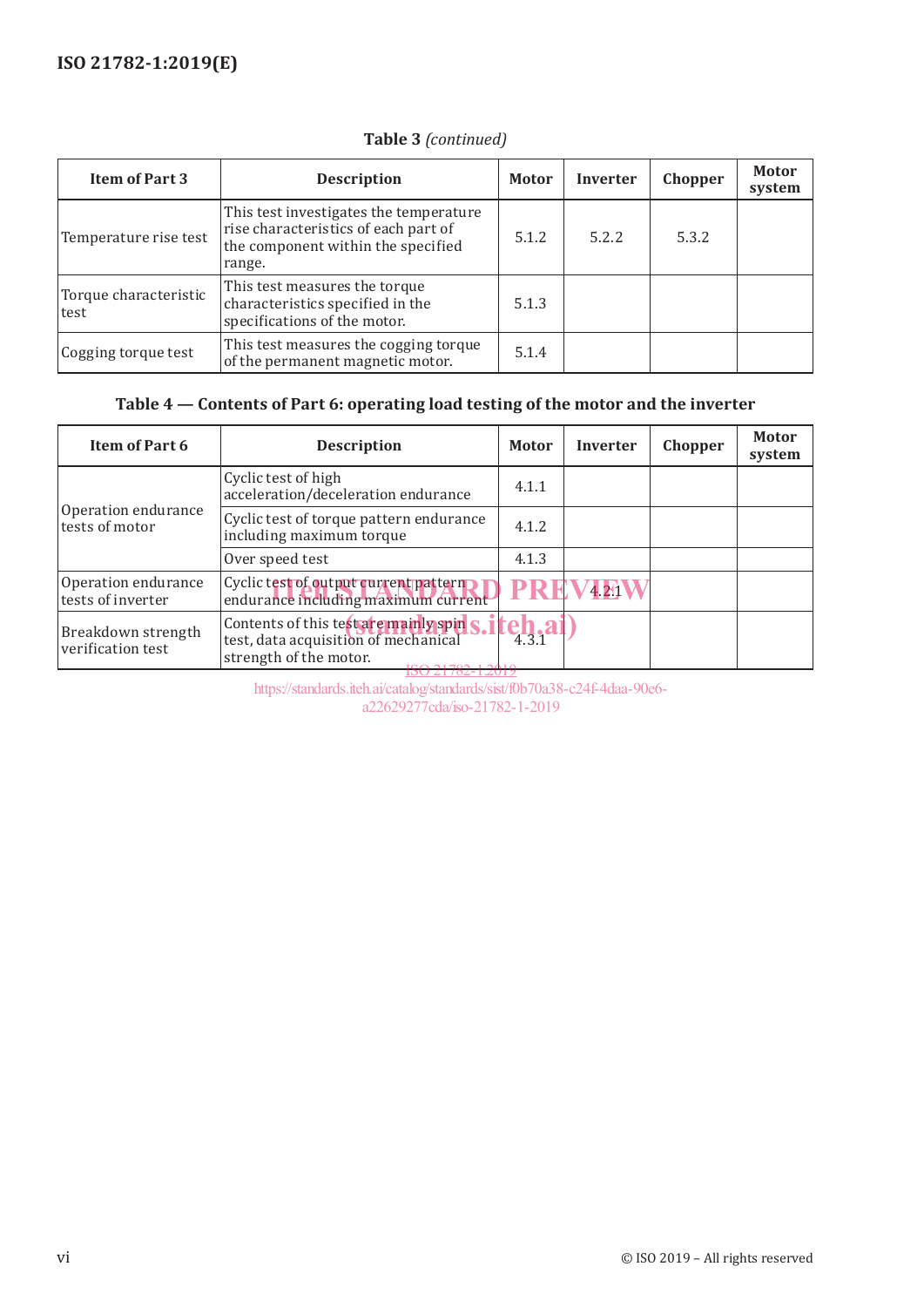| <b>Item of Part 3</b>         | <b>Description</b>                                                                                                             | <b>Motor</b> | <b>Inverter</b> | Chopper | <b>Motor</b><br>system |
|-------------------------------|--------------------------------------------------------------------------------------------------------------------------------|--------------|-----------------|---------|------------------------|
| Temperature rise test         | This test investigates the temperature<br>rise characteristics of each part of<br>the component within the specified<br>range. | 5.1.2        | 5.2.2           | 5.3.2   |                        |
| Torque characteristic<br>test | This test measures the torque<br>characteristics specified in the<br>specifications of the motor.                              | 5.1.3        |                 |         |                        |
| Cogging torque test           | This test measures the cogging torque<br>of the permanent magnetic motor.                                                      | 5.1.4        |                 |         |                        |

## **Table 3** *(continued)*

## **Table 4 — Contents of Part 6: operating load testing of the motor and the inverter**

| Item of Part 6                           | <b>Description</b>                                                                                                        | <b>Motor</b>                               | <b>Inverter</b> | Chopper | <b>Motor</b><br>system |
|------------------------------------------|---------------------------------------------------------------------------------------------------------------------------|--------------------------------------------|-----------------|---------|------------------------|
|                                          | Cyclic test of high<br>acceleration/deceleration endurance                                                                | 4.1.1                                      |                 |         |                        |
| Operation endurance<br>tests of motor    | Cyclic test of torque pattern endurance<br>including maximum torque                                                       | 4.1.2                                      |                 |         |                        |
|                                          | Over speed test                                                                                                           | 4.1.3                                      |                 |         |                        |
| Operation endurance<br>tests of inverter | Cyclic test of output current pattern<br>endurance including maximum current                                              | PRF                                        | 4.21            |         |                        |
| Breakdown strength<br>verification test  | Contents of this test are mainly spin<br>test, data acquisition of mechanical<br>strength of the motor.<br>100.21702.1201 | $\frac{1}{4}$ <sub>3.1</sub> $a^{\dagger}$ |                 |         |                        |

<u>-1:201</u> https://standards.iteh.ai/catalog/standards/sist/f0b70a38-c24f-4daa-90e6 a22629277cda/iso-21782-1-2019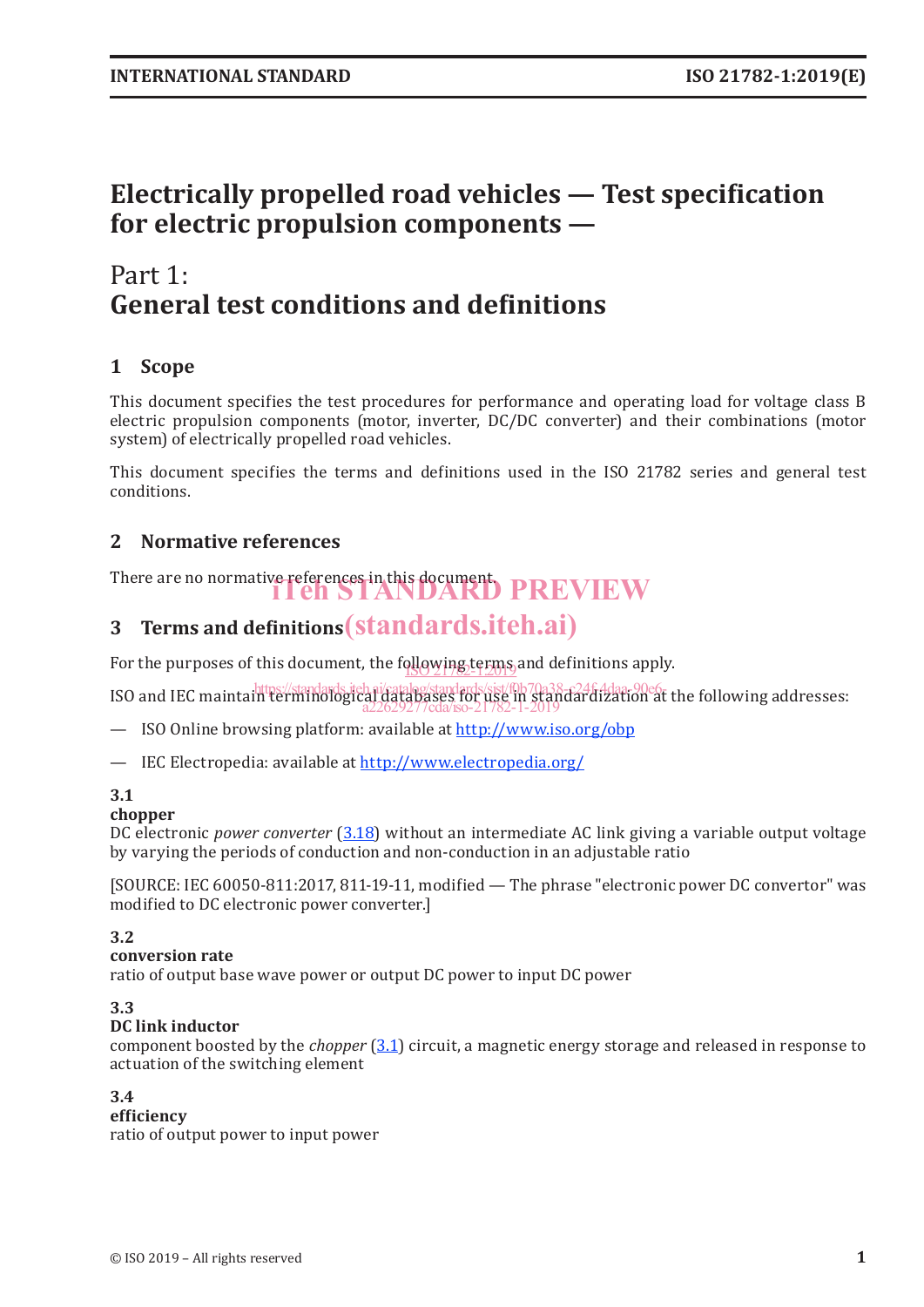# **Electrically propelled road vehicles — Test specification for electric propulsion components —**

# Part 1: **General test conditions and definitions**

## **1 Scope**

This document specifies the test procedures for performance and operating load for voltage class B electric propulsion components (motor, inverter, DC/DC converter) and their combinations (motor system) of electrically propelled road vehicles.

This document specifies the terms and definitions used in the ISO 21782 series and general test conditions.

## **2 Normative references**

There are no normative references in this document.<br>**THEN PREVIEW** 

# **3 Terms and definitions** (standards.iteh.ai)

For the purposes of this document, the following terms and definitions apply.

ISO and IEC maintain terminological databases for use in standards.<br>ISO and IEC maintain terminological databases for use in standardization at the following addresses: a22629277cda/iso-21782-1-2019

— ISO Online browsing platform: available at http://www.iso.org/obp

— IEC Electropedia: available at http://www.electropedia.org/

#### **3.1**

#### **chopper**

DC electronic *power converter* (3.18) without an intermediate AC link giving a variable output voltage by varying the periods of conduction and non-conduction in an adjustable ratio

[SOURCE: IEC 60050-811:2017, 811-19-11, modified — The phrase "electronic power DC convertor" was modified to DC electronic power converter.]

#### **3.2**

#### **conversion rate**

ratio of output base wave power or output DC power to input DC power

#### **3.3**

#### **DC link inductor**

component boosted by the *chopper* (3.1) circuit, a magnetic energy storage and released in response to actuation of the switching element

#### **3.4**

**efficiency** ratio of output power to input power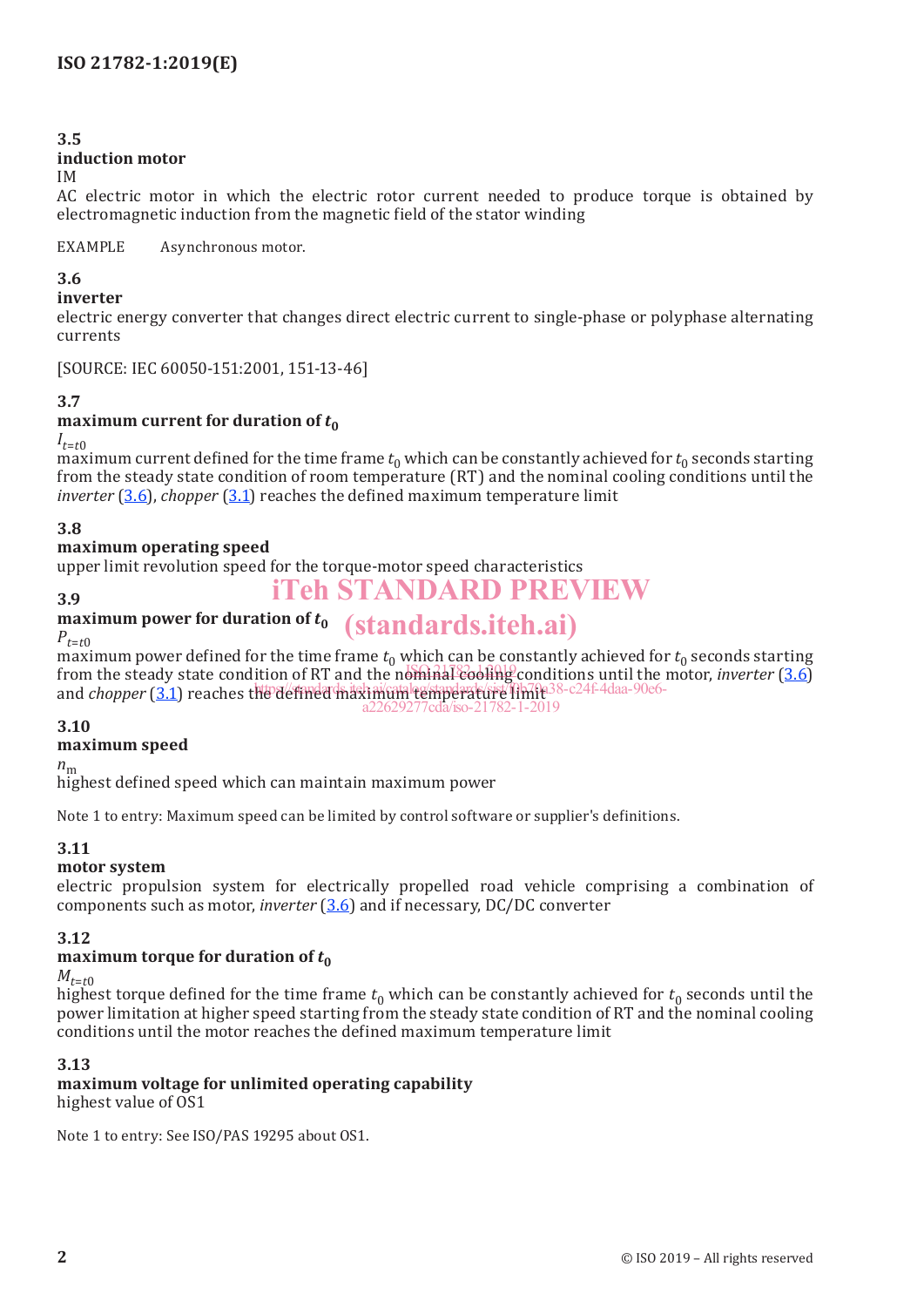#### **3.5**

#### **induction motor**

#### IM

AC electric motor in which the electric rotor current needed to produce torque is obtained by electromagnetic induction from the magnetic field of the stator winding

EXAMPLE Asynchronous motor.

#### **3.6**

#### **inverter**

electric energy converter that changes direct electric current to single-phase or polyphase alternating currents

[SOURCE: IEC 60050-151:2001, 151-13-46]

#### **3.7**

#### **maximum current for duration of**  $t_0$

#### $I_{t=t0}$

maximum current defined for the time frame  $t_0$  which can be constantly achieved for  $t_0$  seconds starting from the steady state condition of room temperature (RT) and the nominal cooling conditions until the *inverter* (3.6), *chopper* (3.1) reaches the defined maximum temperature limit

#### **3.8**

#### **maximum operating speed**

upper limit revolution speed for the torque-motor speed characteristics

#### **3.9**

#### **maximum power for duration of** *t***<sup>0</sup>** (standards.iteh.ai)  $P_{t=t}$ <sup>0</sup>

maximum power defined for the time frame  $t_0$  which can be constantly achieved for  $t_0$  seconds starting from the steady state condition of RT and the nominal cooling conditions until the motor, *inverter* (3.6) and *chopper* (3.1) reaches the defined maximum temperature limite 38-c24f-4daa-90e6a22629277cda/iso-21782-1-2019

iTeh STANDARD PREVIEW

#### **3.10**

#### **maximum speed**

 $n_{\rm m}$ 

highest defined speed which can maintain maximum power

Note 1 to entry: Maximum speed can be limited by control software or supplier's definitions.

#### **3.11**

#### **motor system**

electric propulsion system for electrically propelled road vehicle comprising a combination of components such as motor, *inverter* (3.6) and if necessary, DC/DC converter

#### **3.12**

#### **maximum torque for duration of**  $t_0$

#### $M_{t=t}$ <sup>0</sup>

highest torque defined for the time frame  $t_0$  which can be constantly achieved for  $t_0$  seconds until the power limitation at higher speed starting from the steady state condition of RT and the nominal cooling conditions until the motor reaches the defined maximum temperature limit

#### **3.13**

**maximum voltage for unlimited operating capability** highest value of OS1

Note 1 to entry: See ISO/PAS 19295 about OS1.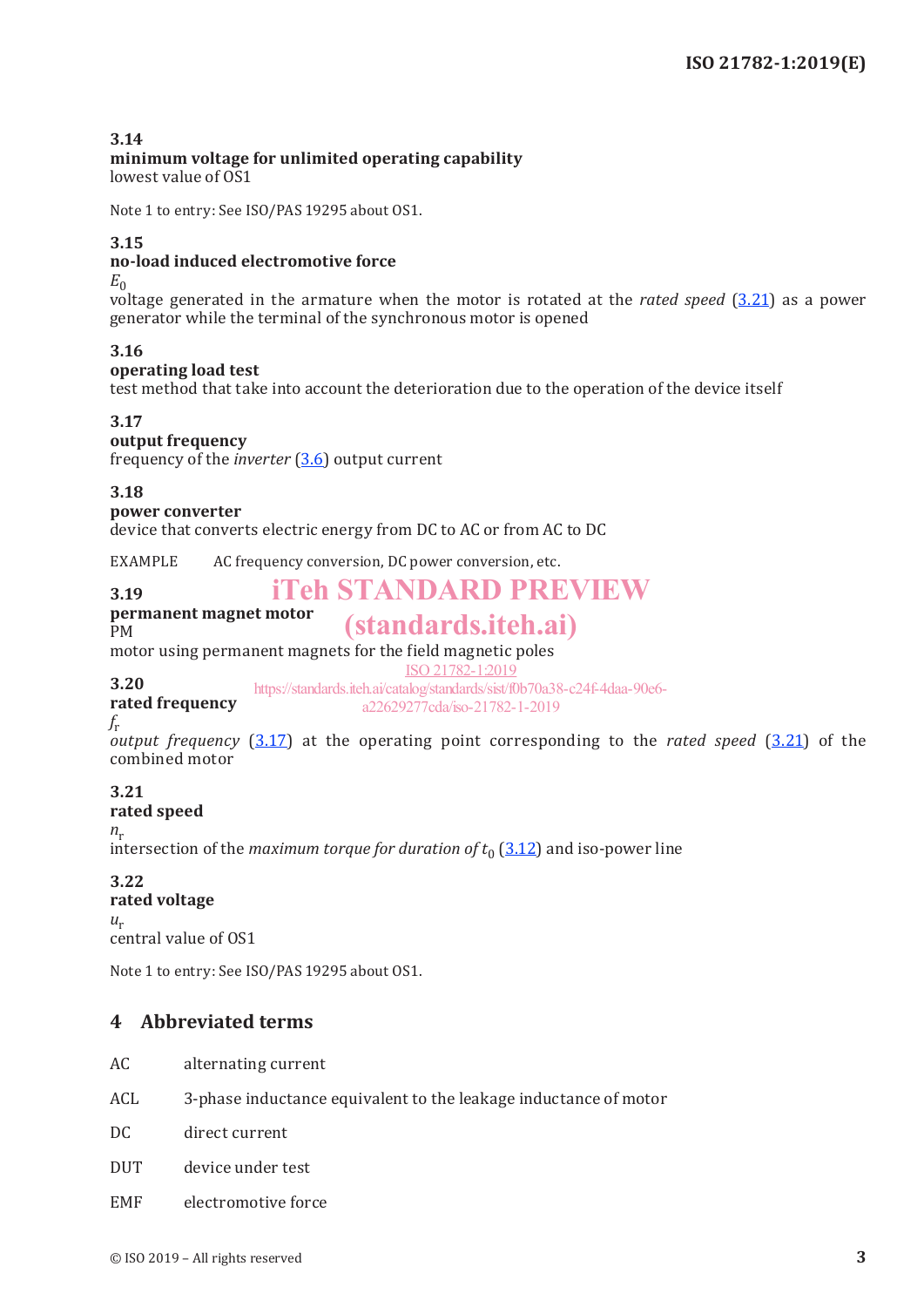#### **3.14**

## **minimum voltage for unlimited operating capability**

lowest value of OS1

Note 1 to entry: See ISO/PAS 19295 about OS1.

#### **3.15**

#### **no-load induced electromotive force**

 $E_{0}$ 

voltage generated in the armature when the motor is rotated at the *rated speed* (3.21) as a power generator while the terminal of the synchronous motor is opened

#### **3.16**

#### **operating load test**

test method that take into account the deterioration due to the operation of the device itself

#### **3.17**

#### **output frequency**

frequency of the *inverter* (3.6) output current

#### **3.18**

#### **power converter**

device that converts electric energy from DC to AC or from AC to DC

EXAMPLE AC frequency conversion, DC power conversion, etc.

## iTeh STANDARD PREVIEW

#### **permanent magnet motor**

#### PM

**3.19**

# (standards.iteh.ai)

motor using permanent magnets for the field magnetic poles

ISO 21782-1:2019

**3.20 rated frequency** https://standards.iteh.ai/catalog/standards/sist/f0b70a38-c24f-4daa-90e6 a22629277cda/iso-21782-1-2019

## *f*r

*output frequency* (3.17) at the operating point corresponding to the *rated speed* (3.21) of the combined motor

## **3.21**

**rated speed**

 $n_r$ 

intersection of the *maximum torque for duration of*  $t_0$  (3.12) and iso-power line

## **3.22**

#### **rated voltage**

 $u_r$ central value of OS1

Note 1 to entry: See ISO/PAS 19295 about OS1.

#### **4 Abbreviated terms**

- AC alternating current
- ACL 3-phase inductance equivalent to the leakage inductance of motor
- DC direct current
- DUT device under test
- EMF electromotive force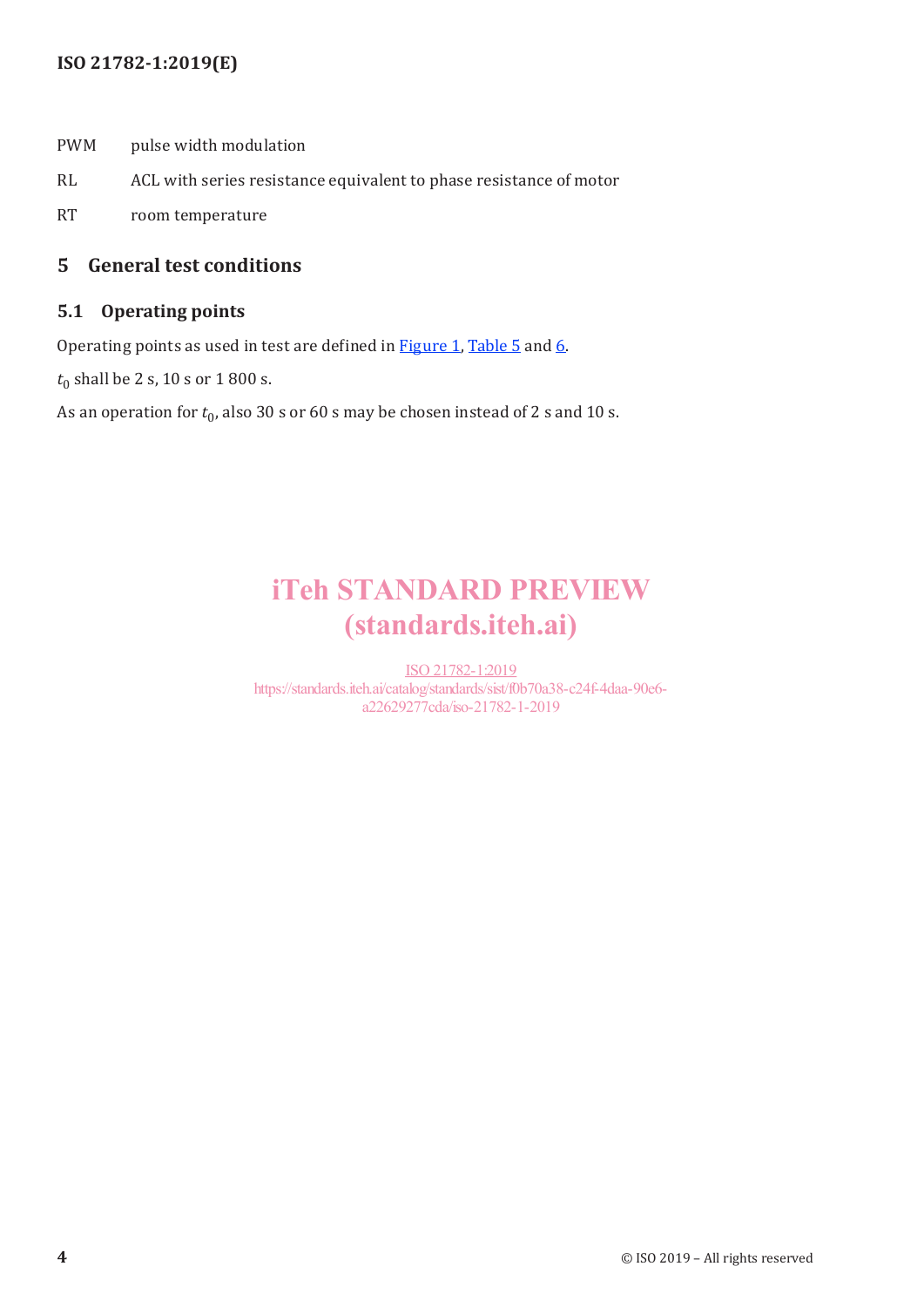### **ISO 21782-1:2019(E)**

- PWM pulse width modulation
- RL ACL with series resistance equivalent to phase resistance of motor
- RT room temperature

### **5 General test conditions**

#### **5.1 Operating points**

Operating points as used in test are defined in **Figure 1**, Table 5 and 6.

 $t_0$  shall be 2 s, 10 s or 1 800 s.

As an operation for  $t_0$ , also 30 s or 60 s may be chosen instead of 2 s and 10 s.

# iTeh STANDARD PREVIEW (standards.iteh.ai)

ISO 21782-1:2019 https://standards.iteh.ai/catalog/standards/sist/f0b70a38-c24f-4daa-90e6 a22629277cda/iso-21782-1-2019